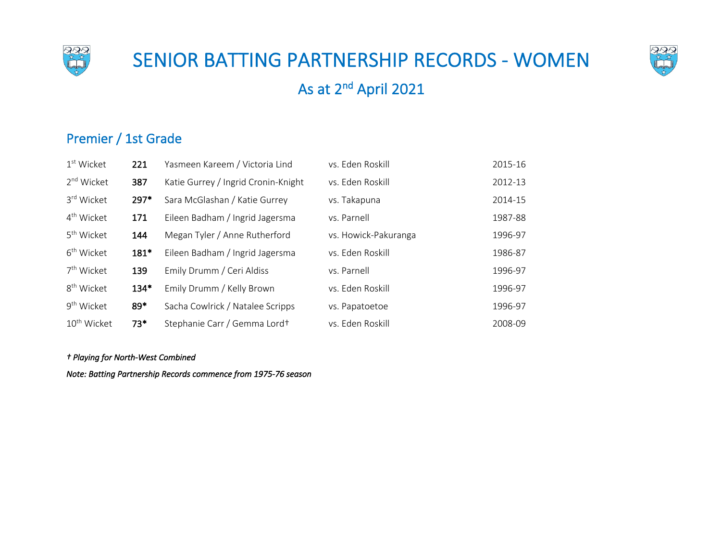

# SENIOR BATTING PARTNERSHIP RECORDS - WOMEN



# As at 2nd April 2021

### Premier / 1st Grade

| $1st$ Wicket            | 221    | Yasmeen Kareem / Victoria Lind      | vs. Eden Roskill     | 2015-16 |
|-------------------------|--------|-------------------------------------|----------------------|---------|
| 2 <sup>nd</sup> Wicket  | 387    | Katie Gurrey / Ingrid Cronin-Knight | vs. Eden Roskill     | 2012-13 |
| 3rd Wicket              | 297*   | Sara McGlashan / Katie Gurrey       | vs. Takapuna         | 2014-15 |
| 4 <sup>th</sup> Wicket  | 171    | Eileen Badham / Ingrid Jagersma     | vs. Parnell          | 1987-88 |
| 5 <sup>th</sup> Wicket  | 144    | Megan Tyler / Anne Rutherford       | vs. Howick-Pakuranga | 1996-97 |
| 6 <sup>th</sup> Wicket  | 181*   | Eileen Badham / Ingrid Jagersma     | vs. Eden Roskill     | 1986-87 |
| 7 <sup>th</sup> Wicket  | 139    | Emily Drumm / Ceri Aldiss           | vs. Parnell          | 1996-97 |
| 8 <sup>th</sup> Wicket  | $134*$ | Emily Drumm / Kelly Brown           | vs. Eden Roskill     | 1996-97 |
| 9 <sup>th</sup> Wicket  | 89*    | Sacha Cowlrick / Natalee Scripps    | vs. Papatoetoe       | 1996-97 |
| 10 <sup>th</sup> Wicket | $73*$  | Stephanie Carr / Gemma Lord+        | vs. Eden Roskill     | 2008-09 |

#### *† Playing for North-West Combined*

*Note: Batting Partnership Records commence from 1975-76 season*